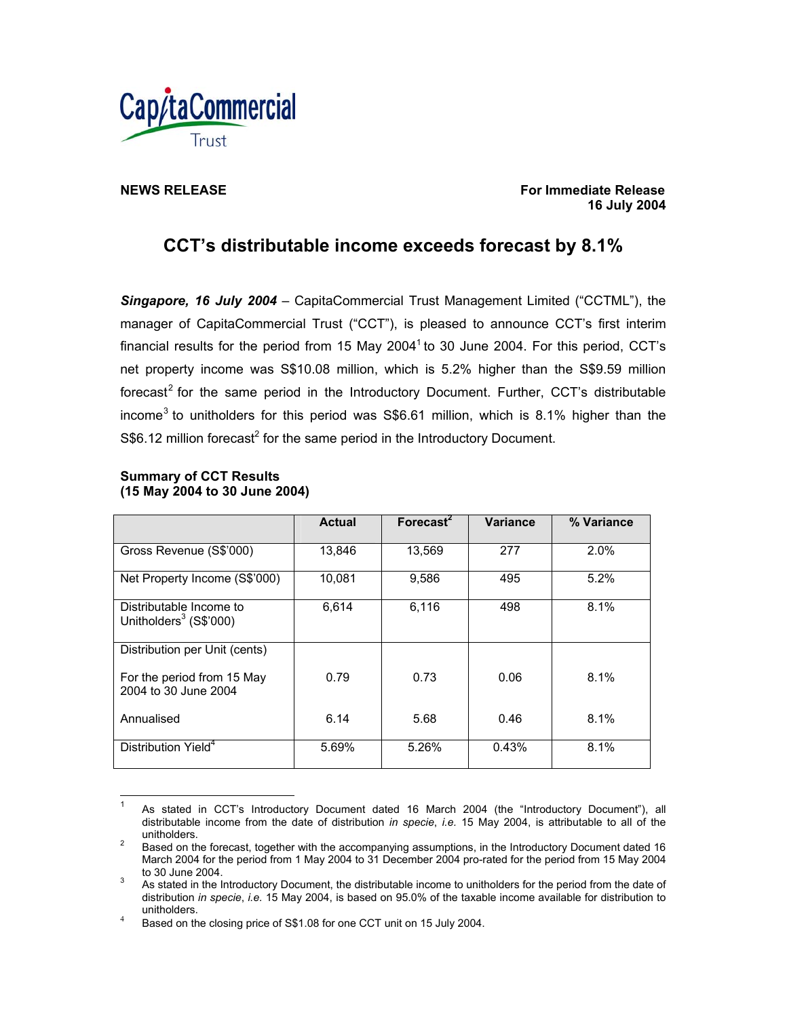

**NEWS RELEASE** For Immediate Release **For Immediate Release 16 July 2004** 

# **CCT's distributable income exceeds forecast by 8.1%**

*Singapore, 16 July 2004* – CapitaCommercial Trust Management Limited ("CCTML"), the manager of CapitaCommercial Trust ("CCT"), is pleased to announce CCT's first interim financial results for the period from 15 May 2004<sup>1</sup> to 30 June 2004. For this period, CCT's net property income was S\$10.08 million, which is 5.2% higher than the S\$9.59 million forecast<sup>2</sup> for the same period in the Introductory Document. Further, CCT's distributable income<sup>3</sup> to unitholders for this period was S\$6.61 million, which is 8.1% higher than the  $S$6.12$  million forecast<sup>2</sup> for the same period in the Introductory Document.

| (15 May 2004 to 30 June 2004)                        |               |              |                 |            |
|------------------------------------------------------|---------------|--------------|-----------------|------------|
|                                                      | <b>Actual</b> | Forecast $2$ | <b>Variance</b> | % Variance |
| Gross Revenue (S\$'000)                              | 13,846        | 13,569       | 277             | $2.0\%$    |
| Net Property Income (S\$'000)                        | 10,081        | 9,586        | 495             | 5.2%       |
| Distributable Income to<br>Unitholders $3$ (S\$'000) | 6,614         | 6,116        | 498             | 8.1%       |
| Distribution per Unit (cents)                        |               |              |                 |            |
| For the period from 15 May<br>2004 to 30 June 2004   | 0.79          | 0.73         | 0.06            | 8.1%       |
| Annualised                                           | 6.14          | 5.68         | 0.46            | 8.1%       |
| Distribution Yield <sup>4</sup>                      | 5.69%         | 5.26%        | 0.43%           | 8.1%       |

## **Summary of CCT Results (15 May 2004 to 30 June 2004)**

 $\frac{1}{1}$  As stated in CCT's Introductory Document dated 16 March 2004 (the "Introductory Document"), all distributable income from the date of distribution *in specie*, *i.e.* 15 May 2004, is attributable to all of the unitholders.

Based on the forecast, together with the accompanying assumptions, in the Introductory Document dated 16 March 2004 for the period from 1 May 2004 to 31 December 2004 pro-rated for the period from 15 May 2004 to 30 June 2004.

As stated in the Introductory Document, the distributable income to unitholders for the period from the date of distribution *in specie*, *i.e.* 15 May 2004, is based on 95.0% of the taxable income available for distribution to

unitholders.<br>
4 Based on the closing price of S\$1.08 for one CCT unit on 15 July 2004.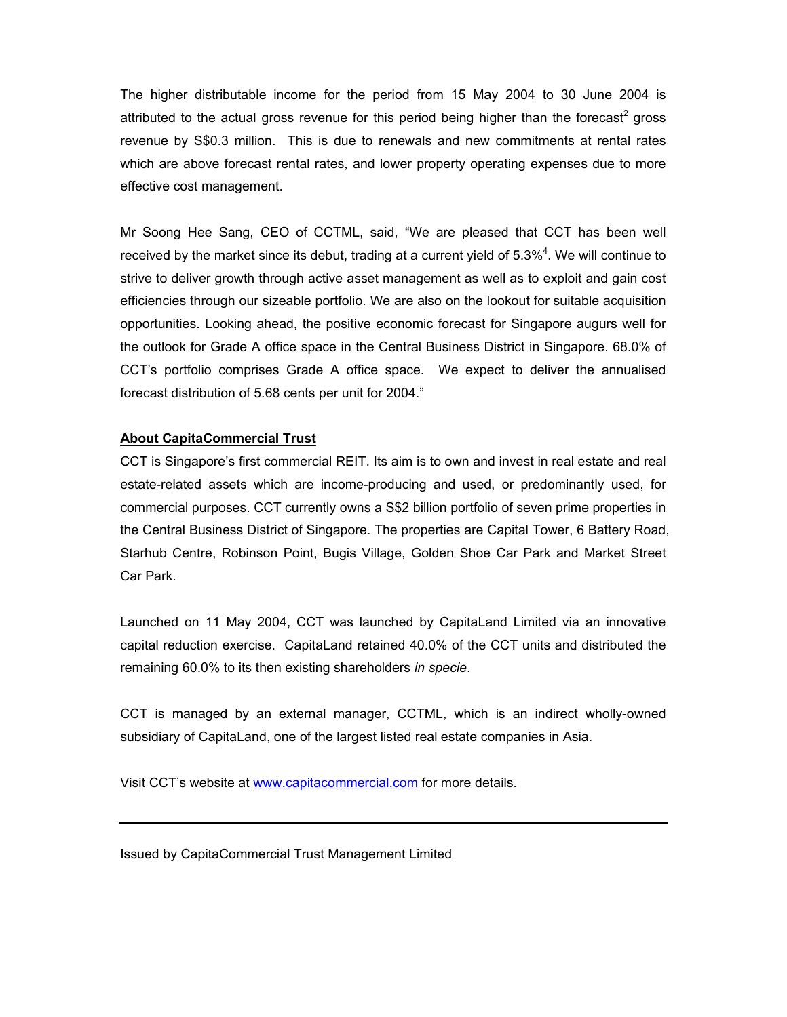The higher distributable income for the period from 15 May 2004 to 30 June 2004 is attributed to the actual gross revenue for this period being higher than the forecast<sup>2</sup> gross revenue by S\$0.3 million. This is due to renewals and new commitments at rental rates which are above forecast rental rates, and lower property operating expenses due to more effective cost management.

Mr Soong Hee Sang, CEO of CCTML, said, "We are pleased that CCT has been well received by the market since its debut, trading at a current yield of  $5.3\%$ <sup>4</sup>. We will continue to strive to deliver growth through active asset management as well as to exploit and gain cost efficiencies through our sizeable portfolio. We are also on the lookout for suitable acquisition opportunities. Looking ahead, the positive economic forecast for Singapore augurs well for the outlook for Grade A office space in the Central Business District in Singapore. 68.0% of CCT's portfolio comprises Grade A office space. We expect to deliver the annualised forecast distribution of 5.68 cents per unit for 2004."

# **About CapitaCommercial Trust**

CCT is Singapore's first commercial REIT. Its aim is to own and invest in real estate and real estate-related assets which are income-producing and used, or predominantly used, for commercial purposes. CCT currently owns a S\$2 billion portfolio of seven prime properties in the Central Business District of Singapore. The properties are Capital Tower, 6 Battery Road, Starhub Centre, Robinson Point, Bugis Village, Golden Shoe Car Park and Market Street Car Park.

Launched on 11 May 2004, CCT was launched by CapitaLand Limited via an innovative capital reduction exercise. CapitaLand retained 40.0% of the CCT units and distributed the remaining 60.0% to its then existing shareholders *in specie*.

CCT is managed by an external manager, CCTML, which is an indirect wholly-owned subsidiary of CapitaLand, one of the largest listed real estate companies in Asia.

Visit CCT's website at www.capitacommercial.com for more details.

Issued by CapitaCommercial Trust Management Limited